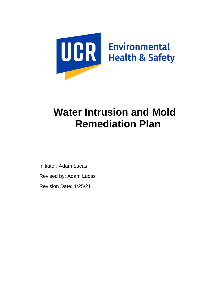

# **Water Intrusion and Mold Remediation Plan**

Initiator: Adam Lucas

Revised by: Adam Lucas

Revision Date: 1/25/21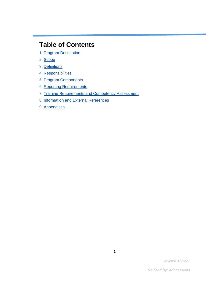# **Table of Contents**

- 1. [Program Description](#page-2-0)
- 2. [Scope](#page-2-1)
- 3. [Definitions](#page-2-2)
- 4. [Responsibilities](#page-9-0)
- 5. [Program Components](#page-13-0)
- 6. [Reporting Requirements](#page-26-0)
- 7. Training Requirements [and Competency Assessment](#page-26-1)
- 8. [Information and External References](#page-27-0)
- 9. [Appendices](#page-27-1)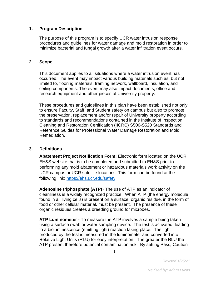#### <span id="page-2-0"></span>**1. Program Description**

The purpose of this program is to specify UCR water intrusion response procedures and guidelines for water damage and mold restoration in order to minimize bacterial and fungal growth after a water infiltration event occurs.

#### <span id="page-2-1"></span>**2. Scope**

This document applies to all situations where a water intrusion event has occurred. The event may impact various building materials such as, but not limited to, flooring materials, framing network, wallboard, insulation, and ceiling components. The event may also impact documents, office and research equipment and other pieces of University property.

These procedures and guidelines in this plan have been established not only to ensure Faculty, Staff, and Student safety on campus but also to promote the preservation, replacement and/or repair of University property according to standards and recommendations contained in the Institute of Inspection Cleaning and Restoration Certification (IICRC) S500-S520 Standards and Reference Guides for Professional Water Damage Restoration and Mold Remediation.

#### <span id="page-2-2"></span>**3. Definitions**

**Abatement Project Notification Form:** Electronic form located on the UCR EH&S website that is to be completed and submitted to EH&S prior to performing any mold abatement or hazardous materials work activity on the UCR campus or UCR satellite locations. This form can be found at the following link:<https://ehs.ucr.edu/safety>

**Adenosine triphosphate (ATP)** - The use of ATP as an indicator of cleanliness is a widely recognized practice. When ATP (the energy molecule found in all living cells) is present on a surface, organic residue, in the form of food or other cellular material, must be present. The presence of these organic residues creates a breeding ground for microbes.

**ATP Luminometer -** To measure the ATP involves a sample being taken using a surface swab or water sampling device. The test is activated, leading to a bioluminescence (emitting light) reaction taking place. The light produced by the test is measured in the luminometer and converted into Relative Light Units (RLU) for easy interpretation. The greater the RLU the ATP present therefore potential contamination risk. By setting Pass, Caution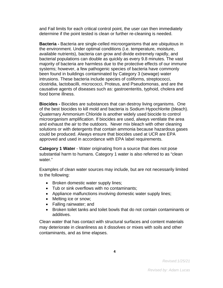and Fail limits for each critical control point, the user can then immediately determine if the point tested is clean or further re-cleaning is needed.

**Bacteria -** Bacteria are single-celled microorganisms that are ubiquitous in the environment. Under optimal conditions (i.e. temperature, moisture, available nutrients), bacteria can grow and divide extremely rapidly, and bacterial populations can double as quickly as every 9.8 minutes. The vast majority of bacteria are harmless due to the protective effects of our immune systems; however, a few pathogenic species of bacteria have commonly been found in buildings contaminated by Category 3 (sewage) water intrusions. These bacteria include species of coliforms, streptococci, clostridia, lactobacilli, micrococci, Proteus, and Pseudomonas, and are the causative agents of diseases such as: gastroenteritis, typhoid, cholera and food borne illness.

**Biocides -** Biocides are substances that can destroy living organisms. One of the best biocides to kill mold and bacteria is Sodium Hypochlorite (bleach). Quaternary Ammonium Chloride is another widely used biocide to control microorganism amplification. If biocides are used, always ventilate the area and exhaust the air to the outdoors. Never mix bleach with other cleaning solutions or with detergents that contain ammonia because hazardous gases could be produced. Always ensure that biocides used at UCR are EPA approved and used in accordance with EPA label requirements.

**Category 1 Water** - Water originating from a source that does not pose substantial harm to humans. Category 1 water is also referred to as "clean water."

Examples of clean water sources may include, but are not necessarily limited to the following:

- Broken domestic water supply lines;
- Tub or sink overflows with no contaminants;
- Appliance malfunctions involving domestic water supply lines;
- Melting ice or snow;
- Falling rainwater; and
- Broken toilet tanks and toilet bowls that do not contain contaminants or additives.

Clean water that has contact with structural surfaces and content materials may deteriorate in cleanliness as it dissolves or mixes with soils and other contaminants, and as time elapses.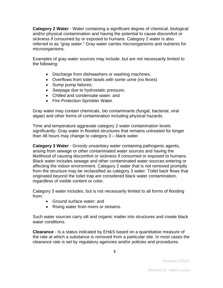**Category 2 Water** *-* Water containing a significant degree of chemical, biological and/or physical contamination and having the potential to cause discomfort or sickness if consumed by or exposed to humans. Category 2 water is also referred to as "gray water." Gray water carries microorganisms and nutrients for microorganisms.

Examples of gray water sources may include, but are not necessarily limited to the following:

- Discharge from dishwashers or washing machines;
- Overflows from toilet bowls with some urine (no feces)
- Sump pump failures;
- Seepage due to hydrostatic pressure;
- Chilled and condensate water; and
- Fire Protection Sprinkler Water.

Gray water may contain chemicals, bio contaminants (fungal, bacterial, viral algae) and other forms of contamination including physical hazards.

Time and temperature aggravate category 2 water contamination levels significantly. Gray water in flooded structures that remains untreated for longer than 48 hours may change to category 3 – black water.

**Category 3 Water** - Grossly unsanitary water containing pathogenic agents, arising from sewage or other contaminated water sources and having the likelihood of causing discomfort or sickness if consumed or exposed to humans. Black water includes sewage and other contaminated water sources entering or affecting the indoor environment. Category 2 water that is not removed promptly from the structure may be reclassified as category 3 water. Toilet back flows that originated beyond the toilet trap are considered black water contamination, regardless of visible content or color.

Category 3 water includes, but is not necessarily limited to all forms of flooding from:

- Ground surface water; and
- Rising water from rivers or streams.

Such water sources carry silt and organic matter into structures and create black water conditions.

**Clearance** - Is a status indicated by EH&S based on a quantitative measure of the rate at which a substance is removed from a particular site. In most cases the clearance rate is set by regulatory agencies and/or policies and procedures.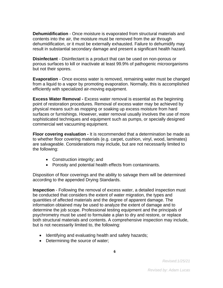**Dehumidification** - Once moisture is evaporated from structural materials and contents into the air, the moisture must be removed from the air through dehumidification, or it must be externally exhausted. Failure to dehumidify may result in substantial secondary damage and present a significant health hazard.

**Disinfectant** - Disinfectant is a product that can be used on non-porous or porous surfaces to kill or inactivate at least 99.9% of pathogenic microorganisms but not their spores.

**Evaporation** - Once excess water is removed, remaining water must be changed from a liquid to a vapor by promoting evaporation. Normally, this is accomplished efficiently with specialized air-moving equipment.

**Excess Water Removal -** Excess water removal is essential as the beginning point of restoration procedures. Removal of excess water may be achieved by physical means such as mopping or soaking up excess moisture from hard surfaces or furnishings. However, water removal usually involves the use of more sophisticated techniques and equipment such as pumps, or specially designed commercial wet vacuuming equipment.

**Floor covering evaluation -** It is recommended that a determination be made as to whether floor covering materials (e.g. carpet, cushion, vinyl, wood, laminates) are salvageable. Considerations may include, but are not necessarily limited to the following:

- Construction integrity; and
- Porosity and potential health effects from contaminants.

Disposition of floor coverings and the ability to salvage them will be determined according to the appended Drying Standards.

**Inspection** - Following the removal of excess water, a detailed inspection must be conducted that considers the extent of water migration, the types and quantities of affected materials and the degree of apparent damage. The information obtained may be used to analyze the extent of damage and to determine the job scope. Professional testing equipment and the principals of psychrometry must be used to formulate a plan to dry and restore, or replace both structural materials and contents. A comprehensive inspection may include, but is not necessarily limited to, the following:

- Identifying and evaluating health and safety hazards;
- Determining the source of water;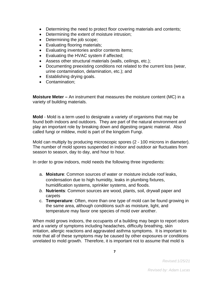- Determining the need to protect floor covering materials and contents;
- Determining the extent of moisture intrusion;
- Determining the job scope;
- Evaluating flooring materials;
- Evaluating inventories and/or contents items;
- Evaluating the HVAC system if affected;
- Assess other structural materials (walls, ceilings, etc.);
- Documenting preexisting conditions not related to the current loss (wear, urine contamination, delamination, etc.); and
- Establishing drying goals.
- Contamination;

**Moisture Meter –** An instrument that measures the moisture content (MC) in a variety of building materials.

**Mold** - Mold is a term used to designate a variety of organisms that may be found both indoors and outdoors. They are part of the natural environment and play an important role by breaking down and digesting organic material. Also called fungi or mildew, mold is part of the kingdom Fungi.

Mold can multiply by producing microscopic spores (2 - 100 microns in diameter). The number of mold spores suspended in indoor and outdoor air fluctuates from season to season, day to day, and hour to hour.

In order to grow indoors, mold needs the following three ingredients:

- a. **Moisture**: Common sources of water or moisture include roof leaks, condensation due to high humidity, leaks in plumbing fixtures, humidification systems, sprinkler systems, and floods.
- *b.* **Nutrients**: Common sources are wood, plants, soil, drywall paper and carpets
- c. **Temperature**: Often, more than one type of mold can be found growing in the same area, although conditions such as moisture, light, and temperature may favor one species of mold over another.

When mold grows indoors, the occupants of a building may begin to report odors and a variety of symptoms including headaches, difficulty breathing, skin irritation, allergic reactions and aggravated asthma symptoms. It is important to note that all of these symptoms may be caused by other exposures or conditions unrelated to mold growth. Therefore, it is important not to assume that mold is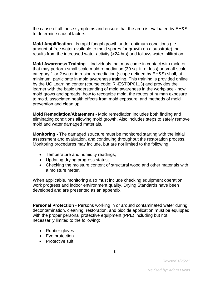the cause of all these symptoms and ensure that the area is evaluated by EH&S to determine causal factors.

**Mold Amplification** - Is rapid fungal growth under optimum conditions (i.e., amount of free water available to mold spores for growth on a substrate) that results from the increased water activity (>24 hrs) and follows water infiltration.

**Mold Awareness Training** – Individuals that may come in contact with mold or that may perform small scale mold remediation (30 sq. ft. or less) or small-scale category 1 or 2 water intrusion remediation (scope defined by EH&S) shall, at minimum, participate in mold awareness training. This training is provided online by the UC Learning center (course code: RI-ESTOP0113) and provides the learner with the basic understanding of mold awareness in the workplace - how mold grows and spreads, how to recognize mold, the routes of human exposure to mold, associated health effects from mold exposure, and methods of mold prevention and clean up.

**Mold Remediation/Abatement** - Mold remediation includes both finding and eliminating conditions allowing mold growth. Also includes steps to safely remove mold and water damaged materials.

**Monitoring -** The damaged structure must be monitored starting with the initial assessment and evaluation, and continuing throughout the restoration process. Monitoring procedures may include, but are not limited to the following:

- Temperature and humidity readings;
- Updating drying progress status;
- Checking the moisture content of structural wood and other materials with a moisture meter.

When applicable, monitoring also must include checking equipment operation, work progress and indoor environment quality. Drying Standards have been developed and are presented as an appendix.

**Personal Protection** - Persons working in or around contaminated water during decontamination, cleaning, restoration, and biocide application must be equipped with the proper personal protective equipment (PPE) including but not necessarily limited to the following:

- Rubber gloves
- Eye protection
- Protective suit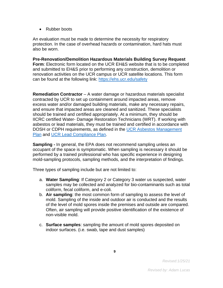• Rubber boots

An evaluation must be made to determine the necessity for respiratory protection. In the case of overhead hazards or contamination, hard hats must also be worn.

**Pre-Renovation/Demolition Hazardous Materials Building Survey Request Form**: Electronic form located on the UCR EH&S website that is to be completed and submitted to EH&S prior to performing any construction, demolition or renovation activities on the UCR campus or UCR satellite locations. This form can be found at the following link:<https://ehs.ucr.edu/safety>

**Remediation Contractor** – A water damage or hazardous materials specialist contracted by UCR to set up containment around impacted areas, remove excess water and/or damaged building materials, make any necessary repairs, and ensure that impacted areas are cleaned and sanitized. These specialists should be trained and certified appropriately. At a minimum, they should be IICRC certified Water- Damage Restoration Technicians (WRT). If working with asbestos or lead materials, they must be trained and certified in accordance with DOSH or CDPH requirements, as defined in the [UCR Asbestos Management](https://ehs.ucr.edu/safety)  [Plan](https://ehs.ucr.edu/safety) and [UCR Lead Compliance Plan.](https://ehs.ucr.edu/safety)

**Sampling -** In general, the EPA does not recommend sampling unless an occupant of the space is symptomatic. When sampling is necessary it should be performed by a trained professional who has specific experience in designing mold-sampling protocols, sampling methods, and the interpretation of findings.

Three types of sampling include but are not limited to:

- a. **Water Sampling**: If Category 2 or Category 3 water us suspected, water samples may be collected and analyzed for bio-contaminants such as total coliform, fecal coliform, and e-coli.
- b. **Air sampling**: the most common form of sampling to assess the level of mold. Sampling of the inside and outdoor air is conducted and the results of the level of mold spores inside the premises and outside are compared. Often, air sampling will provide positive identification of the existence of non-visible mold.
- c. **Surface samples**: sampling the amount of mold spores deposited on indoor surfaces. (i.e. swab, tape and dust samples)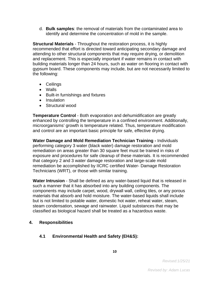d. **Bulk samples**: the removal of materials from the contaminated area to identify and determine the concentration of mold in the sample.

**Structural Materials** - Throughout the restoration process, it is highly recommended that effort is directed toward anticipating secondary damage and attending to other structural components that may require drying, or demolition and replacement. This is especially important if water remains in contact with building materials longer than 24 hours, such as water on flooring in contact with gypsum board. These components may include, but are not necessarily limited to the following:

- Ceilings
- Walls
- Built-in furnishings and fixtures
- Insulation
- Structural wood

**Temperature Control** - Both evaporation and dehumidification are greatly enhanced by controlling the temperature in a confined environment. Additionally, microorganisms' growth is temperature related. Thus, temperature modification and control are an important basic principle for safe, effective drying.

**Water Damage and Mold Remediation Technician Training -** Individuals performing category 3 water (black water) damage restoration and mold remediation on areas greater than 30 square feet must be trained in risks of exposure and procedures for safe cleanup of these materials. It is recommended that category 2 and 3 water damage restoration and large-scale mold remediation be accomplished by IICRC certified Water- Damage Restoration Technicians (WRT), or those with similar training.

**Water Intrusion** - Shall be defined as any water-based liquid that is released in such a manner that it has absorbed into any building components. The components may include carpet, wood, drywall wall, ceiling tiles, or any porous materials that absorb and hold moisture. The water-based liquids shall include but is not limited to potable water, domestic hot water, reheat water, steam, steam condensation, sewage and rainwater. Liquid substances that may be classified as biological hazard shall be treated as a hazardous waste.

#### <span id="page-9-0"></span>**4. Responsibilities**

# **4.1 Environmental Health and Safety (EH&S):**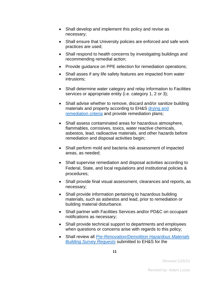- Shall develop and implement this policy and revise as necessary;
- Shall ensure that University policies are enforced and safe work practices are used;
- Shall respond to health concerns by investigating buildings and recommending remedial action;
- Provide guidance on PPE selection for remediation operations;
- Shall asses if any life safety features are impacted from water intrusions;
- Shall determine water category and relay information to Facilities services or appropriate entity (i.e. category 1, 2 or 3);
- Shall advise whether to remove, discard and/or sanitize building materials and property according to EH&S [drying and](#page-13-0)  [remediation criteria](#page-13-0) and provide remediation plans;
- Shall assess contaminated areas for hazardous atmosphere, flammables, corrosives, toxics, water reactive chemicals, asbestos, lead, radioactive materials, and other hazards before remediation and disposal activities begin;
- Shall perform mold and bacteria risk assessment of impacted areas, as needed;
- Shall supervise remediation and disposal activities according to Federal, State, and local regulations and institutional policies & procedures;
- Shall provide final visual assessment, clearances and reports, as necessary;
- Shall provide information pertaining to hazardous building materials, such as asbestos and lead, prior to remediation or building material disturbance.
- Shall partner with Facilities Services and/or PD&C on occupant notifications as necessary;
- Shall provide technical support to departments and employees when questions or concerns arise with regards to this policy;
- Shall review all *[Pre-Renovation/Demolition Hazardous Materials](#page-2-2)  [Building Survey Requests](#page-2-2)* submitted to EH&S for the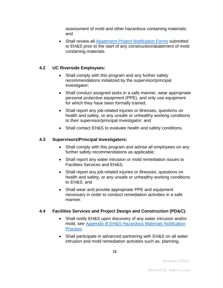assessment of mold and other hazardous containing materials; and

• Shall review all *[Abatement Project Notification Forms](#page-2-2)* submitted to EH&S prior to the start of any construction/abatement of mold containing materials.

# **4.2 UC Riverside Employees:**

- Shall comply with this program and any further safety recommendations initialized by the supervisor/principal investigator;
- Shall conduct assigned tasks in a safe manner, wear appropriate personal protective equipment (PPE), and only use equipment for which they have been formally trained;
- Shall report any job-related injuries or illnesses, questions on health and safety, or any unsafe or unhealthy working conditions to their supervisor/principal investigator; and
- Shall contact EH&S to evaluate health and safety conditions.

# **4.3 Supervisors/Principal Investigators:**

- Shall comply with this program and advise all employees on any further safety recommendations as applicable;
- Shall report any water intrusion or mold remediation issues to Facilities Services and EH&S;
- Shall report any job-related injuries or illnesses, questions on health and safety, or any unsafe or unhealthy working conditions to EH&S; and
- Shall wear and provide appropriate PPE and equipment necessary in order to conduct remediation activities in a safe manner.

# **4.4 Facilities Services and Project Design and Construction (PD&C):**

- Shall notify EH&S upon discovery of any water intrusion and/or mold, see [Appendix-B EH&S Hazardous Materials Notification](#page-27-1)  [Process;](#page-27-1)
- Shall participate in advanced partnering with EH&S on all water intrusion and mold remediation activities such as: planning,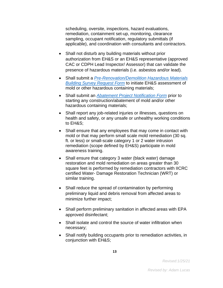scheduling, oversite, inspections, hazard evaluations, remediation, containment set-up, monitoring, clearance sampling, occupant notification, regulatory submittals (if applicable), and coordination with consultants and contractors.

- Shall not disturb any building materials without prior authorization from EH&S or an EH&S representative (approved CAC or CDPH Lead Inspector/ Assessor) that can validate the presence of hazardous materials (i.e. asbestos and/or lead).
- Shall submit a *[Pre-Renovation/Demolition Hazardous Materials](#page-2-2)  [Building Survey Request](#page-2-2) Form* to initiate EH&S assessment of mold or other hazardous containing materials;
- Shall submit an *[Abatement Project Notification Form](#page-2-2)* prior to starting any construction/abatement of mold and/or other hazardous containing materials;
- Shall report any job-related injuries or illnesses, questions on health and safety, or any unsafe or unhealthy working conditions to EH&S;
- Shall ensure that any employees that may come in contact with mold or that may perform small scale mold remediation (30 sq. ft. or less) or small-scale category 1 or 2 water intrusion remediation (scope defined by EH&S) participate in mold awareness training.
- Shall ensure that category 3 water (black water) damage restoration and mold remediation on areas greater than 30 square feet is performed by remediation contractors with IICRC certified Water- Damage Restoration Technician (WRT) or similar training.
- Shall reduce the spread of contamination by performing preliminary liquid and debris removal from affected areas to minimize further impact;
- Shall perform preliminary sanitation in affected areas with EPA approved disinfectant;
- Shall isolate and control the source of water infiltration when necessary;
- Shall notify building occupants prior to remediation activities, in conjunction with EH&S;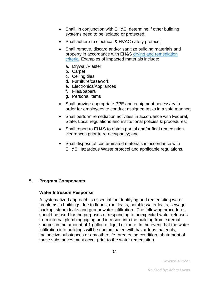- Shall, in conjunction with EH&S, determine if other building systems need to be isolated or protected;
- Shall adhere to electrical & HVAC safety protocol;
- Shall remove, discard and/or sanitize building materials and property in accordance with EH&S [drying and remediation](#page-13-0)  [criteria.](#page-13-0) Examples of impacted materials include:
	- a. Drywall/Plaster
	- b. Carpet
	- c. Ceiling tiles
	- d. Furniture/casework
	- e. Electronics/Appliances
	- f. Files/papers
	- g. Personal items
- Shall provide appropriate PPE and equipment necessary in order for employees to conduct assigned tasks in a safe manner;
- Shall perform remediation activities in accordance with Federal, State, Local regulations and institutional policies & procedures;
- Shall report to EH&S to obtain partial and/or final remediation clearances prior to re-occupancy; and
- Shall dispose of contaminated materials in accordance with EH&S Hazardous Waste protocol and applicable regulations.

# <span id="page-13-0"></span>**5. Program Components**

#### **Water Intrusion Response**

A systematized approach is essential for identifying and remediating water problems in buildings due to floods, roof leaks, potable water leaks, sewage backup, steam leaks and groundwater infiltration. The following procedures should be used for the purposes of responding to unexpected water releases from internal plumbing piping and intrusion into the building from external sources in the amount of 1 gallon of liquid or more. In the event that the water infiltration into buildings will be contaminated with hazardous materials, radioactive substances or any other life-threatening condition, abatement of those substances must occur prior to the water remediation.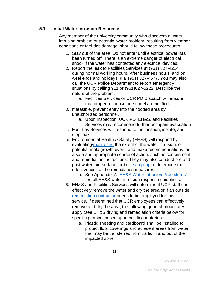# **5.1 Initial Water Intrusion Response**

Any member of the university community who discovers a water intrusion problem or potential water problem, resulting from weather conditions or facilities damage, should follow these procedures:

- 1. Stay out of the area. Do not enter until electrical power has been turned off. There is an extreme danger of electrical shock if the water has contacted any electrical devices.
- 2. Report the leak to Facilities Services at (951) 827-4214 during normal working hours. After business hours, and on weekends and holidays, dial (951) 827-4677. You may also call the UCR Police Department to report emergency situations by calling 911 or (951)827-5222. Describe the nature of the problem.
	- a. Facilities Services or UCR PD Dispatch will ensure that proper response personnel are notified.
- 3. If feasible, prevent entry into the flooded area by unauthorized personnel.
	- a. Upon inspection, UCR PD, EH&S, and Facilities Services may recommend further occupant evacuation
- 4. Facilities Services will respond to the location, isolate, and stop leak.
- 5. Environmental Health & Safety (EH&S) will respond by evaluating[/monitoring](#page-2-2) the extent of the water intrusion, or potential mold growth event, and make recommendations for a safe and appropriate course of action, such as containment and remediation instructions. They may also conduct pre and post water, air, surface, or bulk [sampling](#page-2-2) to determine the effectiveness of the remediation measures.
	- a. See Appendix-A ["EH&S Water Intrusion Procedures"](#page-27-1) for full EH&S water intrusion response guidelines.
- 6. EH&S and Facilities Services will determine if UCR staff can effectively remove the water and dry the area or if an outside [remediation contractor](#page-2-2) needs to be employed for this service. If determined that UCR employees can effectively remove and dry the area, the following general procedures apply (see EH&S drying and remediation criteria below for specific protocol based upon building material) :
	- a. Plastic sheeting and cardboard shall be installed to protect floor coverings and adjacent areas from water that may be transferred from traffic in and out of the impacted zone.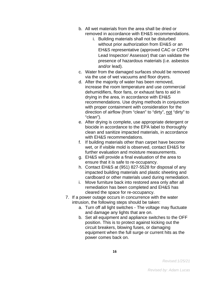- b. All wet materials from the area shall be dried or removed in accordance with EH&S recommendations.
	- i. Building materials shall not be disturbed without prior authorization from EH&S or an EH&S representative (approved CAC or CDPH Lead Inspector/ Assessor) that can validate the presence of hazardous materials (i.e. asbestos and/or lead).
- c. Water from the damaged surfaces should be removed via the use of wet vacuums and floor dryers.
- d. After the majority of water has been removed, increase the room temperature and use commercial dehumidifiers, floor fans, or exhaust fans to aid in drying in the area, in accordance with EH&S recommendations. Use drying methods in conjunction with proper containment with consideration for the direction of airflow (from "clean" to "dirty", not "dirty" to "clean").
- e. After drying is complete, use appropriate detergent or biocide in accordance to the EPA label to thoroughly clean and sanitize impacted materials, in accordance with EH&S recommendations.
- f. If building materials other than carpet have become wet, or if visible mold is observed, contact EH&S for further evaluation and moisture measurements.
- g. EH&S will provide a final evaluation of the area to ensure that it is safe to re-occupancy.
- h. Contact EH&S at (951) 827-5528 for disposal of any impacted building materials and plastic sheeting and cardboard or other materials used during remediation.
- i. Move furniture back into restored area only after all remediation has been completed and EH&S has cleared the space for re-occupancy.
- 7. If a power outage occurs in concurrence with the water intrusion, the following steps should be taken:
	- a. Turn off all light switches The voltage may fluctuate and damage any lights that are on.
	- b. Set all equipment and appliance switches to the OFF position. This is to protect against kicking out the circuit breakers, blowing fuses, or damaging equipment when the full surge or current hits as the power comes back on.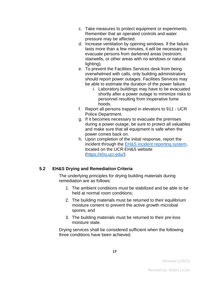- c. Take measures to protect equipment or experiments. Remember that air operated controls and water pressure may be affected.
- d. Increase ventilation by opening windows. If the failure lasts more than a few minutes, it will be necessary to evacuate persons from darkened areas (restroom, stairwells, or other areas with no windows or natural lighting).
- e. To prevent the Facilities Services desk from being overwhelmed with calls, only building administrators should report power outages. Facilities Services may be able to estimate the duration of the power failure.
	- i. Laboratory buildings may have to be evacuated shortly after a power outage to minimize risks to personnel resulting from inoperative fume hoods.
- f. Report all persons trapped in elevators to 911 UCR Police Department.
- g. If it becomes necessary to evacuate the premises during a power outage, be sure to protect all valuables and make sure that all equipment is safe when the power comes back on.
- h. Upon completion of the initial response, report the incident through the [EH&S incident reporting system,](https://ehs.ucr.edu/) located on the UCR EH&S website [\(https://ehs.ucr.edu/\)](https://ehs.ucr.edu/).

# **5.2 EH&S Drying and Remediation Criteria**

The underlying principles for drying building materials during remediation are as follows:

- 1. The ambient conditions must be stabilized and be able to be held at normal room conditions;
- 2. The building materials must be returned to their equilibrium moisture content to prevent the active growth microbial spores; and
- 3. The building materials must be returned to their pre-loss moisture state.

Drying services shall be considered sufficient when the following three conditions have been achieved.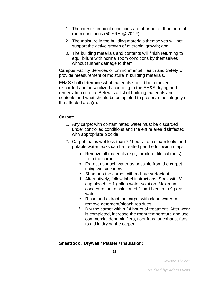- 1. The interior ambient conditions are at or better than normal room conditions (50%RH @ 70° F);
- 2. The moisture in the building materials themselves will not support the active growth of microbial growth; and
- 3. The building materials and contents will finish returning to equilibrium with normal room conditions by themselves without further damage to them.

Campus Facility Services or Environmental Health and Safety will provide measurement of moisture in building materials.

EH&S shall determine what materials should be removed, discarded and/or sanitized according to the EH&S drying and remediation criteria. Below is a list of building materials and contents and what should be completed to preserve the integrity of the affected area(s).

#### **Carpet:**

- 1. Any carpet with contaminated water must be discarded under controlled conditions and the entire area disinfected with appropriate biocide.
- 2. Carpet that is wet less than 72 hours from steam leaks and potable water leaks can be treated per the following steps:
	- a. Remove all materials (e.g., furniture, file cabinets) from the carpet.
	- b. Extract as much water as possible from the carpet using wet vacuums.
	- c. Shampoo the carpet with a dilute surfactant.
	- d. Alternatively, follow label instructions. Soak with ¼ cup bleach to 1-gallon water solution. Maximum concentration: a solution of 1-part bleach to 9 parts water.
	- e. Rinse and extract the carpet with clean water to remove detergent/bleach residues.
	- f. Dry the carpet within 24 hours of treatment. After work is completed, increase the room temperature and use commercial dehumidifiers, floor fans, or exhaust fans to aid in drying the carpet.

#### **Sheetrock / Drywall / Plaster / Insulation:**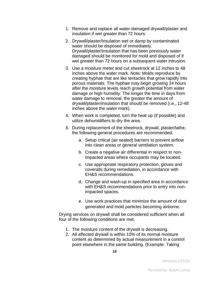- 1. Remove and replace all water-damaged drywall/plaster and insulation if wet greater than 72 hours.
- 2. Drywall/plaster/insulation wet or damp by contaminated water should be disposed of immediately. Drywall/plaster/insulation that has been previously water damaged should be monitored for mold and disposed of if wet greater than 72 hours on a subsequent water intrusion.
- 3. Use a moisture meter and cut sheetrock at 12 inches to 48 inches above the water mark. Note: Molds reproduce by creating hyphae that are like tentacles that grow rapidly into porous materials. The hyphae may begin growing 24 hours after the moisture levels reach growth potential from water damage or high humidity. The longer the time in days from water damage to removal, the greater the amount of drywall/plaster/insulation that should be removed (i.e., 12-48 inches above the water mark).
- 4. When work is completed, turn the heat up (if possible) and utilize dehumidifiers to dry the area.
- *5.* During replacement of the sheetrock, drywall, plaster/lathe, the following general procedures are recommended.
	- a. Setup critical (air sealed) barriers to prevent airflow into clean areas or general ventilation system.
	- b. Create a negative air differential in respect to nonimpacted areas where occupants may be located.
	- c. Use appropriate respiratory protection, gloves and coveralls during remediation, in accordance with EH&S recommendations.
	- d. Change and wash-up in specified area in accordance with EH&S recommendations prior to entry into nonimpacted spaces.
	- e. Use work practices that minimize the amount of dust generated and mold particles becoming airborne.

Drying services on drywall shall be considered sufficient when all four of the following conditions are met.

- 1. The moisture content of the drywall is decreasing.
- 2. All affected drywall is within 10% of its normal moisture content as determined by actual measurement in a control point elsewhere in the same building. (Example: Taking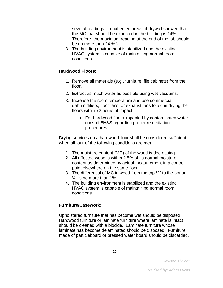several readings in unaffected areas of drywall showed that the MC that should be expected in the building is 14%. Therefore, the maximum reading at the end of the job should be no more than 24 %.)

3. The building environment is stabilized and the existing HVAC system is capable of maintaining normal room conditions.

#### **Hardwood Floors:**

- 1. Remove all materials (e.g., furniture, file cabinets) from the floor.
- 2. Extract as much water as possible using wet vacuums.
- 3. Increase the room temperature and use commercial dehumidifiers, floor fans, or exhaust fans to aid in drying the floors within 72 hours of impact.
	- a. For hardwood floors impacted by contaminated water, consult EH&S regarding proper remediation procedures.

Drying services on a hardwood floor shall be considered sufficient when all four of the following conditions are met.

- 1. The moisture content (MC) of the wood is decreasing.
- 2. All affected wood is within 2.5% of its normal moisture content as determined by actual measurement in a control point elsewhere on the same floor.
- 3. The differential of MC in wood from the top ¼" to the bottom  $\frac{1}{4}$ " is no more than 1%.
- 4. The building environment is stabilized and the existing HVAC system is capable of maintaining normal room conditions.

#### **Furniture/Casework:**

Upholstered furniture that has become wet should be disposed. Hardwood furniture or laminate furniture where laminate is intact should be cleaned with a biocide. Laminate furniture whose laminate has become delaminated should be disposed. Furniture made of particleboard or pressed wafer board should be discarded.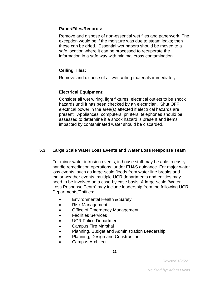#### **Paper/Files/Records:**

Remove and dispose of non-essential wet files and paperwork. The exception would be if the moisture was due to steam leaks; then these can be dried. Essential wet papers should be moved to a safe location where it can be processed to recuperate the information in a safe way with minimal cross contamination.

# **Ceiling Tiles:**

Remove and dispose of all wet ceiling materials immediately.

# **Electrical Equipment:**

Consider all wet wiring, light fixtures, electrical outlets to be shock hazards until it has been checked by an electrician. Shut OFF electrical power in the area(s) affected if electrical hazards are present. Appliances, computers, printers, telephones should be assessed to determine if a shock hazard is present and items impacted by contaminated water should be discarded.

# **5.3 Large Scale Water Loss Events and Water Loss Response Team**

For minor water intrusion events, in house staff may be able to easily handle remediation operations, under EH&S guidance. For major water loss events, such as large-scale floods from water line breaks and major weather events, multiple UCR departments and entities may need to be involved on a case-by case basis. A large-scale "Water Loss Response Team" may include leadership from the following UCR Departments/Entities:

- Environmental Health & Safety
- Risk Management
- Office of Emergency Management
- Facilities Services
- UCR Police Department
- Campus Fire Marshal
- Planning, Budget and Administration Leadership
- Planning, Design and Construction
- Campus Architect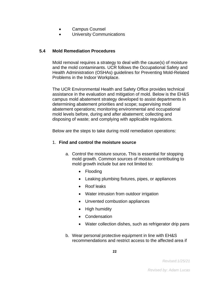- Campus Counsel
- University Communications

# **5.4 Mold Remediation Procedures**

Mold removal requires a strategy to deal with the cause(s) of moisture and the mold contaminants. UCR follows the Occupational Safety and Health Administration (OSHAs) guidelines for Preventing Mold-Related Problems in the Indoor Workplace.

The UCR Environmental Health and Safety Office provides technical assistance in the evaluation and mitigation of mold. Below is the EH&S campus mold abatement strategy developed to assist departments in determining abatement priorities and scope; supervising mold abatement operations; monitoring environmental and occupational mold levels before, during and after abatement; collecting and disposing of waste; and complying with applicable regulations.

Below are the steps to take during mold remediation operations:

# 1. **Find and control the moisture source**

- a. Control the moisture source**.** This is essential for stopping mold growth. Common sources of moisture contributing to mold growth include but are not limited to:
	- Flooding
	- Leaking plumbing fixtures, pipes, or appliances
	- Roof leaks
	- Water intrusion from outdoor irrigation
	- Unvented combustion appliances
	- High humidity
	- Condensation
	- Water collection dishes, such as refrigerator drip pans
- b. Wear personal protective equipment in line with EH&S recommendations and restrict access to the affected area if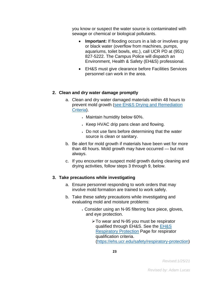you know or suspect the water source is contaminated with sewage or chemical or biological pollutants.

- **Important:** If flooding occurs in a lab or involves gray or black water (overflow from machines, pumps, aquariums, toilet bowls, etc.), call UCR PD at (951) 827-5222. The Campus Police will dispatch an Environment, Health & Safety (EH&S) professional.
- EH&S must give clearance before Facilities Services personnel can work in the area.

#### **2. Clean and dry water damage promptly**

- a. Clean and dry water damaged materials within 48 hours to prevent mold growth (see EH&S [Drying and Remediation](#page-13-0)  [Criteria\)](#page-13-0).
	- Maintain humidity below 60%.
	- Keep HVAC drip pans clean and flowing.
	- Do not use fans before determining that the water source is clean or sanitary.
- b. Be alert for mold growth if materials have been wet for more than 48 hours. Mold growth may have occurred — but not always.
- c. If you encounter or suspect mold growth during cleaning and drying activities, follow steps 3 through 9, below.

#### **3. Take precautions while investigating**

- a. Ensure personnel responding to work orders that may involve mold formation are trained to work safely.
- b. Take these safety precautions while investigating and evaluating mold and moisture problems:
	- Consider using an N-95 filtering face piece, gloves, and eye protection.
		- To wear and N-95 you must be respirator qualified through EH&S. See the EH&S [Respiratory Protection](https://ehs.ucr.edu/safety/respiratory-protection) Page for respirator qualification criteria. [\(https://ehs.ucr.edu/safety/respiratory-protection\)](https://ehs.ucr.edu/safety/respiratory-protection)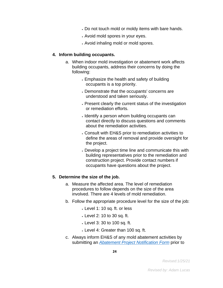- Do not touch mold or moldy items with bare hands.
- Avoid mold spores in your eyes.
- Avoid inhaling mold or mold spores.

#### **4. Inform building occupants.**

- a. When indoor mold investigation or abatement work affects building occupants, address their concerns by doing the following:
	- Emphasize the health and safety of building occupants is a top priority.
	- Demonstrate that the occupants' concerns are understood and taken seriously.
	- Present clearly the current status of the investigation or remediation efforts.
	- Identify a person whom building occupants can contact directly to discuss questions and comments about the remediation activities.
	- Consult with EH&S prior to remediation activities to define the areas of removal and provide oversight for the project.
	- Develop a project time line and communicate this with building representatives prior to the remediation and construction project. Provide contact numbers if occupants have questions about the project.

#### **5. Determine the size of the job.**

- a. Measure the affected area. The level of remediation procedures to follow depends on the size of the area involved. There are 4 levels of mold remediation.
- b. Follow the appropriate procedure level for the size of the job:
	- Level 1: 10 sq. ft. or less
	- Level 2: 10 to 30 sq. ft.
	- Level 3: 30 to 100 sq. ft.
	- Level 4: Greater than 100 sq. ft.
- c. Always inform EH&S of any mold abatement activities by submitting an *[Abatement Project Notification Form](#page-2-2)* prior to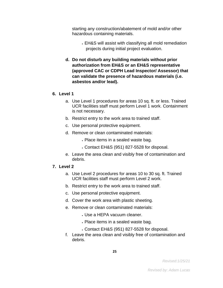starting any construction/abatement of mold and/or other hazardous containing materials.

- EH&S will assist with classifying all mold remediation projects during initial project evaluation.
- **d. Do not disturb any building materials without prior authorization from EH&S or an EH&S representative (approved CAC or CDPH Lead Inspector/ Assessor) that can validate the presence of hazardous materials (i.e. asbestos and/or lead).**

#### **6. Level 1**

- a. Use Level 1 procedures for areas 10 sq. ft. or less. Trained UCR facilities staff must perform Level 1 work. Containment is not necessary.
- b. Restrict entry to the work area to trained staff.
- c. Use personal protective equipment.
- d. Remove or clean contaminated materials:
	- Place items in a sealed waste bag.
	- Contact EH&S (951) 827-5528 for disposal.
- e. Leave the area clean and visibly free of contamination and debris.

#### **7. Level 2**

- a. Use Level 2 procedures for areas 10 to 30 sq. ft. Trained UCR facilities staff must perform Level 2 work.
- b. Restrict entry to the work area to trained staff.
- c. Use personal protective equipment.
- d. Cover the work area with plastic sheeting.
- e. Remove or clean contaminated materials:
	- Use a HEPA vacuum cleaner.
	- Place items in a sealed waste bag.
	- Contact EH&S (951) 827-5528 for disposal.
- f. Leave the area clean and visibly free of contamination and debris.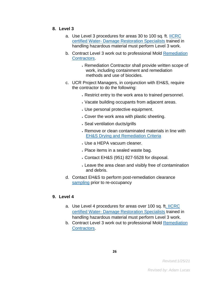#### **8. Level 3**

- a. Use Level 3 procedures for areas 30 to 100 sq. ft. [IICRC](#page-2-2)  certified Water- [Damage Restoration Specialists](#page-2-2) trained in handling hazardous material must perform Level 3 work.
- b. Contract Level 3 work out to professional Mold Remediation [Contractors.](#page-2-2)
	- Remediation Contractor shall provide written scope of work, including containment and remediation methods and use of biocides.
- c. UCR Project Managers, in conjunction with EH&S, require the contractor to do the following:
	- Restrict entry to the work area to trained personnel.
	- Vacate building occupants from adjacent areas.
	- Use personal protective equipment.
	- Cover the work area with plastic sheeting.
	- Seal ventilation ducts/grills
	- Remove or clean contaminated materials in line with [EH&S Drying and Remediation Criteria](#page-13-0)
	- Use a HEPA vacuum cleaner.
	- Place items in a sealed waste bag.
	- Contact EH&S (951) 827-5528 for disposal.
	- Leave the area clean and visibly free of contamination and debris.
- d. Contact EH&S to perform post-remediation clearance [sampling](#page-2-2) prior to re-occupancy

# **9. Level 4**

- a. Use Level 4 procedures for areas over 100 sq. f[t. IICRC](#page-2-2)  certified Water- [Damage Restoration Specialists](#page-2-2) trained in handling hazardous material must perform Level 3 work.
- b. Contract Level 3 work out to professional Mold [Remediation](#page-2-2)  [Contractors.](#page-2-2)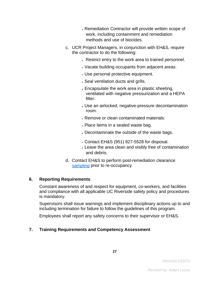- Remediation Contractor will provide written scope of work, including containment and remediation methods and use of biocides.
- c. UCR Project Managers, in conjunction with EH&S, require the contractor to do the following:
	- Restrict entry to the work area to trained personnel.
	- Vacate building occupants from adjacent areas.
	- Use personal protective equipment.
	- Seal ventilation ducts and grills.
	- Encapsulate the work area in plastic sheeting, ventilated with negative pressurization and a HEPA filter.
	- Use an airlocked, negative-pressure decontamination room.
	- Remove or clean contaminated materials:
	- Place items in a sealed waste bag.
	- Decontaminate the outside of the waste bags.
	- Contact EH&S (951) 827-5528 for disposal.
	- Leave the area clean and visibly free of contamination and debris.
- d. Contact EH&S to perform post-remediation clearance [sampling](#page-2-2) prior to re-occupancy

# <span id="page-26-0"></span>**6. Reporting Requirements**

Constant awareness of and respect for equipment, co-workers, and facilities and compliance with all applicable UC Riverside safety policy and procedures is mandatory.

Supervisors shall issue warnings and implement disciplinary actions up to and including termination for failure to follow the guidelines of this program.

Employees shall report any safety concerns to their supervisor or EH&S.

# <span id="page-26-1"></span>**7. Training Requirements and Competency Assessment**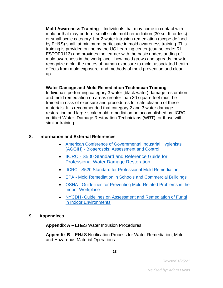**Mold Awareness Training** – Individuals that may come in contact with mold or that may perform small scale mold remediation (30 sq. ft. or less) or small-scale category 1 or 2 water intrusion remediation (scope defined by EH&S) shall, at minimum, participate in mold awareness training. This training is provided online by the UC Learning center (course code: RI-ESTOP0113) and provides the learner with the basic understanding of mold awareness in the workplace - how mold grows and spreads, how to recognize mold, the routes of human exposure to mold, associated health effects from mold exposure, and methods of mold prevention and clean up.

#### **Water Damage and Mold Remediation Technician Training** -

Individuals performing category 3 water (black water) damage restoration and mold remediation on areas greater than 30 square feet must be trained in risks of exposure and procedures for safe cleanup of these materials. It is recommended that category 2 and 3 water damage restoration and large-scale mold remediation be accomplished by IICRC certified Water- Damage Restoration Technicians (WRT), or those with similar training.

# <span id="page-27-0"></span>**8. Information and External References**

- [American Conference of Governmental Industrial Hygienists](https://www.acgih.org/forms/store/ProductFormPublic/bioaerosols-assessment-and-control)  (AGGIH) - [Bioaerosols: Assessment and Control](https://www.acgih.org/forms/store/ProductFormPublic/bioaerosols-assessment-and-control)
- IICRC [S500 Standard and Reference Guide for](https://www.iicrc.org/page/SANSIIICRCS500)  [Professional Water Damage Restoration](https://www.iicrc.org/page/SANSIIICRCS500)
- IICRC [S520 Standard for Professional Mold Remediation](https://www.iicrc.org/page/SANSIIICRCS520)
- EPA [Mold Remediation in Schools and Commercial Buildings](https://www.epa.gov/mold/mold-remediation-schools-and-commercial-buildings-guide-chapter-1)
- OSHA [Guidelines for Preventing Mold-Related Problems in the](https://www.osha.gov/Publications/preventing_mold.pdf)  [Indoor Workplace](https://www.osha.gov/Publications/preventing_mold.pdf)
- NYCDH [Guidelines on Assessment and Remediation of Fungi](http://www.ncdhd.org/files/PDFs/epi-mold-guidelines.pdf)  [in Indoor Environments](http://www.ncdhd.org/files/PDFs/epi-mold-guidelines.pdf)

#### <span id="page-27-1"></span>**9. Appendices**

**Appendix A –** EH&S Water Intrusion Procedures

**Appendix B –** EH&S Notification Process for Water Remediation, Mold and Hazardous Material Operations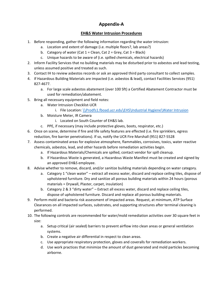# **Appendix-A**

# **EH&S Water Intrusion Procedures**

- 1. Before responding, gather the following information regarding the water intrusion:
	- a. Location and extent of damage (i.e. multiple floors?, lab areas?)
	- b. Category of water (Cat  $1 =$  Clean, Cat  $2 =$  Grey, Cat  $3 =$  Black)
	- c. Unique hazards to be aware of (i.e. spilled chemicals, electrical hazards)
- 2. Inform Facility Services that no building materials may be disturbed prior to asbestos and lead testing, unless assumed positive and treated as such.
- 3. Contact IH to review asbestos records or ask an approved third party consultant to collect samples.
- 4. If Hazardous Building Materials are impacted (i.e. asbestos & lead), contact Facilities Services (951) 827-4677.
	- a. For large scale asbestos abatement (over 100 Sft) a Certified Abatement Contractor must be used for remediation/abatement.
- 5. Bring all necessary equipment and field notes:
	- a. Water Intrusion Checklist-UCR
		- i. File Location: [\\Prodfs1.fboad.ucr.edu\EHS\Industrial Hygiene\Water Intrusion](file://///Prodfs1.fboad.ucr.edu/EHS/Industrial%20Hygiene/Water%20Intrusion)
	- b. Moisture Meter, IR Camera
		- i. Located on South Counter of EH&S lab.
	- c. PPE, if necessary (may include protective gloves, boots, respirator, etc.)
- 6. Once on scene, determine if fire and life safety features are effected (i.e. fire sprinklers, egress reduction, fire barrier penetrations). If so, notify the UCR Fire Marshall (951) 827-5528
- 7. Assess contaminated areas for explosive atmosphere, flammables, corrosives, toxics, water reactive chemicals, asbestos, lead, and other hazards before remediation activities begin.
	- a. If Hazardous Materials/Chemicals are spilled, contact vendor for spill cleanup.
	- b. If Hazardous Waste is generated, a Hazardous Waste Manifest must be created and signed by an approved EH&S employee.
- 8. Advise whether to remove, discard, and/or sanitize building materials depending on water category.
	- a. Category 1 "clean water" extract all excess water, discard and replace ceiling tiles, dispose of upholstered furniture. Dry and sanitize all porous building materials within 24 hours (porous materials = Drywall, Plaster, carpet, insulation)
	- b. Category 2 & 3 "dirty water" Extract all excess water, discard and replace ceiling tiles, dispose of upholstered furniture. Discard and replace all porous building materials.
- 9. Perform mold and bacteria risk assessment of impacted areas. Request, at minimum, ATP Surface Clearances on all impacted surfaces, substrates, and supporting structures after terminal cleaning is performed.
- 10. The following controls are recommended for water/mold remediation activities over 30 square feet in size:
	- a. Setup critical (air sealed) barriers to prevent airflow into clean areas or general ventilation systems.
	- b. Create a negative air differential in respect to clean areas.
	- c. Use appropriate respiratory protection, gloves and coveralls for remediation workers.
	- d. Use work practices that minimize the amount of dust generated and mold particles becoming airborne.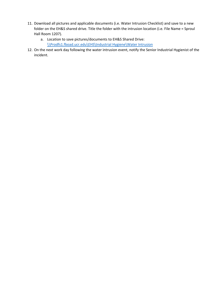- 11. Download all pictures and applicable documents (i.e. Water Intrusion Checklist) and save to a new folder on the EH&S shared drive. Title the folder with the intrusion location (i.e. File Name = Sproul Hall Room 1207).
	- a. Location to save pictures/documents to EH&S Shared Drive: [\\Prodfs1.fboad.ucr.edu\EHS\Industrial Hygiene\Water Intrusion](file://///Prodfs1.fboad.ucr.edu/EHS/Industrial%20Hygiene/Water%20Intrusion)
- 12. On the next work day following the water intrusion event, notify the Senior Industrial Hygienist of the incident.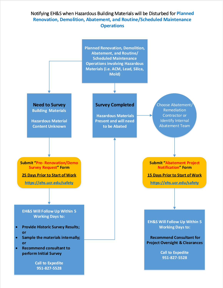# Notifying EH&S when Hazardous Building Materials will be Disturbed for **Planned Renovation, Demolition, Abatement, and Routine/Scheduled Maintenance Operations**